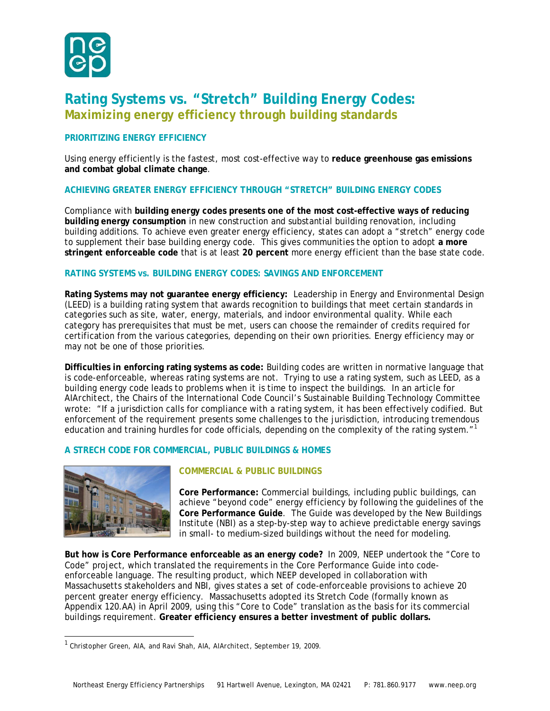

# **Rating Systems vs. "Stretch" Building Energy Codes: Maximizing energy efficiency through building standards**

## **PRIORITIZING ENERGY EFFICIENCY**

Using energy efficiently is the fastest, most cost-effective way to **reduce greenhouse gas emissions and combat global climate change**.

# **ACHIEVING GREATER ENERGY EFFICIENCY THROUGH "STRETCH" BUILDING ENERGY CODES**

Compliance with **building energy codes presents one of the most cost-effective ways of reducing building energy consumption** in new construction and substantial building renovation, including building additions. To achieve even greater energy efficiency, states can adopt a "stretch" energy code to supplement their base building energy code. This gives communities the option to adopt **a more stringent enforceable code** that is at least **20 percent** more energy efficient than the base state code.

## **RATING SYSTEMS vs. BUILDING ENERGY CODES: SAVINGS AND ENFORCEMENT**

**Rating Systems may not guarantee energy efficiency:** Leadership in Energy and Environmental Design (LEED) is a building rating system that awards recognition to buildings that meet certain standards in categories such as site, water, energy, materials, and indoor environmental quality. While each category has prerequisites that must be met, users can choose the remainder of credits required for certification from the various categories, depending on their own priorities. Energy efficiency may or may not be one of those priorities.

**Difficulties in enforcing rating systems as code:** Building codes are written in normative language that is code-enforceable, whereas rating systems are not. Trying to use a rating system, such as LEED, as a building energy code leads to problems when it is time to inspect the buildings. In an article for *AIArchitect*, the Chairs of the International Code Council's Sustainable Building Technology Committee wrote: "If a jurisdiction calls for compliance with a rating system, it has been effectively codified. But enforcement of the requirement presents some challenges to the jurisdiction, introducing tremendous education and training hurdles for code officials, depending on the complexity of the rating system."[1](#page-0-0)

#### **A STRECH CODE FOR COMMERCIAL, PUBLIC BUILDINGS & HOMES**



# **COMMERCIAL & PUBLIC BUILDINGS**

**Core Performance:** Commercial buildings, including public buildings, can achieve "beyond code" energy efficiency by following the guidelines of the **Core Performance Guide**. The Guide was developed by the New Buildings Institute (NBI) as a step-by-step way to achieve predictable energy savings in small- to medium-sized buildings without the need for modeling.

**But how is Core Performance enforceable as an energy code?** In 2009, NEEP undertook the "Core to Code" project, which translated the requirements in the Core Performance Guide into codeenforceable language. The resulting product, which NEEP developed in collaboration with Massachusetts stakeholders and NBI, gives states a set of code-enforceable provisions to achieve 20 percent greater energy efficiency. Massachusetts adopted its Stretch Code (formally known as Appendix 120.AA) in April 2009, using this "Core to Code" translation as the basis for its commercial buildings requirement. **Greater efficiency ensures a better investment of public dollars.**

<span id="page-0-0"></span> <sup>1</sup> Christopher Green, AIA, and Ravi Shah, AIA, *AIArchitect*, September 19, 2009.